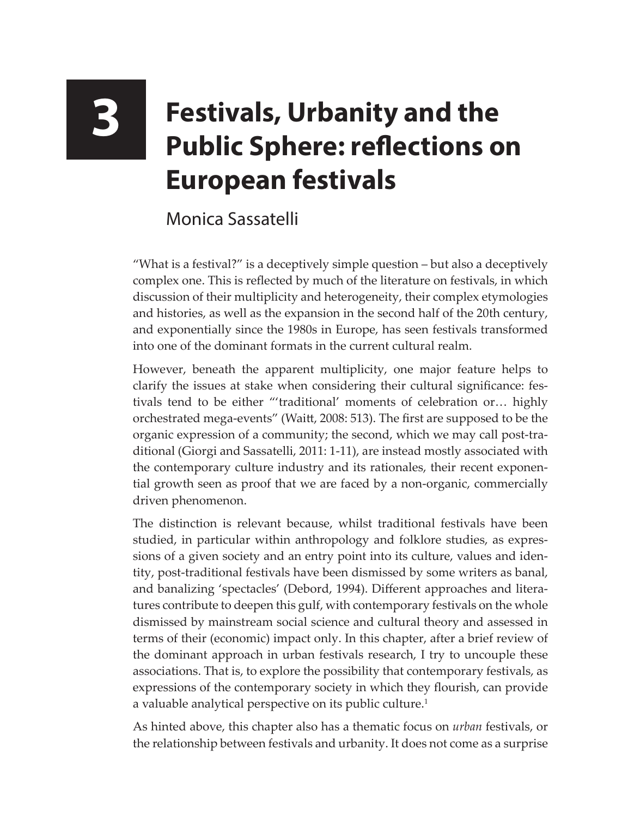## **3 Festivals, Urbanity and the Public Sphere: reflections on European festivals**

Monica Sassatelli

"What is a festival?" is a deceptively simple question – but also a deceptively complex one. This is reflected by much of the literature on festivals, in which discussion of their multiplicity and heterogeneity, their complex etymologies and histories, as well as the expansion in the second half of the 20th century, and exponentially since the 1980s in Europe, has seen festivals transformed into one of the dominant formats in the current cultural realm.

However, beneath the apparent multiplicity, one major feature helps to clarify the issues at stake when considering their cultural significance: festivals tend to be either "'traditional' moments of celebration or… highly orchestrated mega-events" (Waitt, 2008: 513). The first are supposed to be the organic expression of a community; the second, which we may call post-traditional (Giorgi and Sassatelli, 2011: 1-11), are instead mostly associated with the contemporary culture industry and its rationales, their recent exponential growth seen as proof that we are faced by a non-organic, commercially driven phenomenon.

The distinction is relevant because, whilst traditional festivals have been studied, in particular within anthropology and folklore studies, as expressions of a given society and an entry point into its culture, values and identity, post-traditional festivals have been dismissed by some writers as banal, and banalizing 'spectacles' (Debord, 1994). Different approaches and literatures contribute to deepen this gulf, with contemporary festivals on the whole dismissed by mainstream social science and cultural theory and assessed in terms of their (economic) impact only. In this chapter, after a brief review of the dominant approach in urban festivals research, I try to uncouple these associations. That is, to explore the possibility that contemporary festivals, as expressions of the contemporary society in which they flourish, can provide a valuable analytical perspective on its public culture.<sup>1</sup>

As hinted above, this chapter also has a thematic focus on *urban* festivals, or the relationship between festivals and urbanity. It does not come as a surprise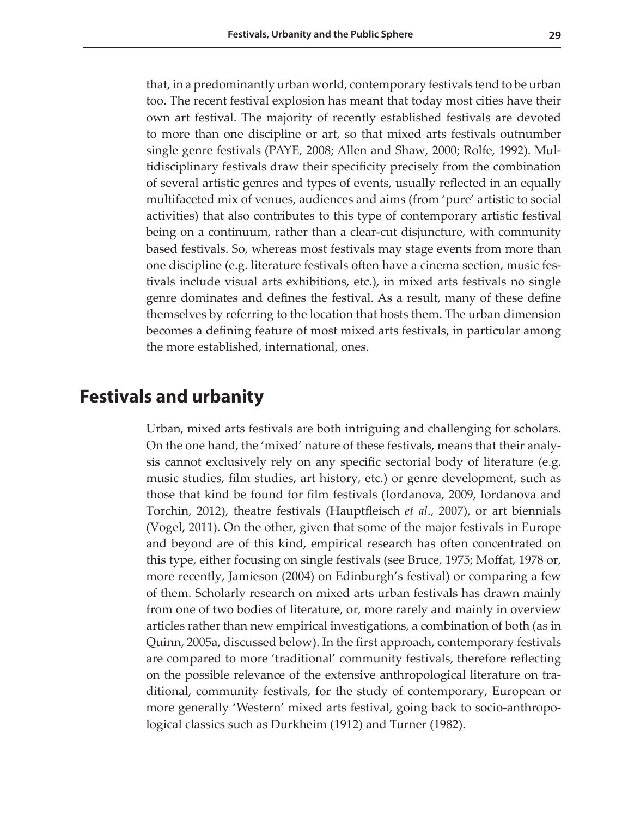that, in a predominantly urban world, contemporary festivals tend to be urban too. The recent festival explosion has meant that today most cities have their own art festival. The majority of recently established festivals are devoted to more than one discipline or art, so that mixed arts festivals outnumber single genre festivals (PAYE, 2008; Allen and Shaw, 2000; Rolfe, 1992). Multidisciplinary festivals draw their specificity precisely from the combination of several artistic genres and types of events, usually reflected in an equally multifaceted mix of venues, audiences and aims (from 'pure' artistic to social activities) that also contributes to this type of contemporary artistic festival being on a continuum, rather than a clear-cut disjuncture, with community based festivals. So, whereas most festivals may stage events from more than one discipline (e.g. literature festivals often have a cinema section, music festivals include visual arts exhibitions, etc.), in mixed arts festivals no single genre dominates and defines the festival. As a result, many of these define themselves by referring to the location that hosts them. The urban dimension becomes a defining feature of most mixed arts festivals, in particular among the more established, international, ones.

## **Festivals and urbanity**

Urban, mixed arts festivals are both intriguing and challenging for scholars. On the one hand, the 'mixed' nature of these festivals, means that their analysis cannot exclusively rely on any specific sectorial body of literature (e.g. music studies, film studies, art history, etc.) or genre development, such as those that kind be found for film festivals (Iordanova, 2009, Iordanova and Torchin, 2012), theatre festivals (Hauptfleisch *et al*., 2007), or art biennials (Vogel, 2011). On the other, given that some of the major festivals in Europe and beyond are of this kind, empirical research has often concentrated on this type, either focusing on single festivals (see Bruce, 1975; Moffat, 1978 or, more recently, Jamieson (2004) on Edinburgh's festival) or comparing a few of them. Scholarly research on mixed arts urban festivals has drawn mainly from one of two bodies of literature, or, more rarely and mainly in overview articles rather than new empirical investigations, a combination of both (as in Quinn, 2005a, discussed below). In the first approach, contemporary festivals are compared to more 'traditional' community festivals, therefore reflecting on the possible relevance of the extensive anthropological literature on traditional, community festivals, for the study of contemporary, European or more generally 'Western' mixed arts festival, going back to socio-anthropological classics such as Durkheim (1912) and Turner (1982).